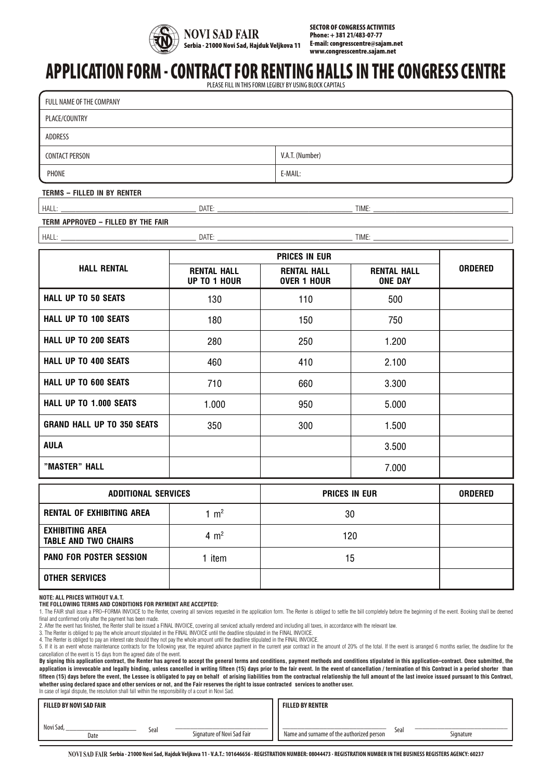

SECTOR OF CONGRESS ACTIVITIES Phone: + 381 21/483-07-77 E-mail: congresscentre@sajam.net www.congresscentre.sajam.net

# APPLICATION FORM- CONTRACT FOR RENTING HALLS IN THE CONGRESS CENTRE

PLEASE FILL IN THIS FORM LEGIBLY BY USING BLOCK CAPITALS

| FULL NAME OF THE COMPANY |                 |  |  |  |  |
|--------------------------|-----------------|--|--|--|--|
| PLACE/COUNTRY            |                 |  |  |  |  |
| ADDRESS                  |                 |  |  |  |  |
| <b>CONTACT PERSON</b>    | V.A.T. (Number) |  |  |  |  |
| PHONE                    | E-MAIL:         |  |  |  |  |

### **TERMS - FILLED IN BY RENTER**

HALL: \_\_\_\_\_\_\_\_\_\_\_\_\_\_\_\_\_\_\_\_\_\_\_\_\_\_\_\_\_\_\_\_\_\_\_\_\_ DATE: \_\_\_\_\_\_\_\_\_\_\_\_\_\_\_\_\_\_\_\_\_\_\_\_\_\_\_\_\_\_\_\_\_\_\_\_\_ TIME: \_\_\_\_\_\_\_\_\_\_\_\_\_\_\_\_\_\_\_\_\_\_\_\_\_\_\_\_\_\_\_\_\_\_\_\_\_

### **TERM APPROVED - FILLED BY THE FAIR**

HALL: \_\_\_\_\_\_\_\_\_\_\_\_\_\_\_\_\_\_\_\_\_\_\_\_\_\_\_\_\_\_\_\_\_\_\_\_\_ DATE: \_\_\_\_\_\_\_\_\_\_\_\_\_\_\_\_\_\_\_\_\_\_\_\_\_\_\_\_\_\_\_\_\_\_\_\_\_ TIME: \_\_\_\_\_\_\_\_\_\_\_\_\_\_\_\_\_\_\_\_\_\_\_\_\_\_\_\_\_\_\_\_\_\_\_\_\_

**PRICES IN EUR HALL RENTAL RENTAL HALL UP TO 1 HOUR RENTAL HALL OVER 1 HOUR RENTAL HALL ONE DAY ORDERED HALL UP TO 50 SEATS**  $\begin{array}{ccc} 130 & 110 & 110 \end{array}$  500 **HALL UP TO 100 SEATS**  $\begin{array}{|c|c|c|c|c|} \hline \text{HALL UP TO 100 SEATS} & \text{180} & \text{180} & \text{150} & \text{150} \ \hline \end{array}$ **HALL UP TO 200 SEATS** 280 250 1.200 **HALL UP TO 400 SEATS**  $\begin{array}{|c|c|c|c|c|} \hline \end{array}$  460  $\begin{array}{|c|c|c|c|c|} \hline \end{array}$  410  $\begin{array}{|c|c|c|c|c|} \hline \end{array}$  2.100 **HALL UP TO 600 SEATS**  $\begin{array}{|c|c|c|c|c|} \hline \end{array}$  710  $\begin{array}{|c|c|c|c|} \hline \end{array}$  660  $\begin{array}{|c|c|c|c|} \hline \end{array}$  3.300 **HALL UP TO 1.000 SEATS**  $\begin{array}{|c|c|c|c|c|} \hline \end{array}$  1.000  $\begin{array}{|c|c|c|c|c|} \hline \end{array}$  5.000 **GRAND HALL UP TO 350 SEATS**  $\begin{array}{ccc} 350 & 300 & 300 \end{array}$  1.500

| "MASTER" HALL                                         |                 |                      | 7.000 |                |
|-------------------------------------------------------|-----------------|----------------------|-------|----------------|
| <b>ADDITIONAL SERVICES</b>                            |                 | <b>PRICES IN EUR</b> |       | <b>ORDERED</b> |
| <b>RENTAL OF EXHIBITING AREA</b>                      | 1 $m2$          | 30                   |       |                |
| <b>EXHIBITING AREA</b><br><b>TABLE AND TWO CHAIRS</b> | $4 \text{ m}^2$ | 120                  |       |                |
| <b>PANO FOR POSTER SESSION</b>                        | 1 item          | 15                   |       |                |
| <b>OTHER SERVICES</b>                                 |                 |                      |       |                |

**NOTE: ALL PRICES WITHOUT V.A.T.**

**"MASTER" HALL**

**THE FOLLOWING TERMS AND CONDITIONS FOR PAYMENT ARE ACCEPTED:**

2. After the event has finished, the Renter shall be issued a FINAL INVOICE, covering all serviced actually rendered and including all taxes, in accordance with the relevant law.<br>3. The Renter is obliged to pay the whole a

**AULA** 3.500

5. If it is an event whose maintenance contracts for the following year, the required advance payment in the current year contract in the amount of 20% of the total. If the event is arranged 6 months earlier, the deadline cancellation of the event is 15 days from the agreed date of the event.

**By signing this application contract, the Renter has agreed to accept the general terms and conditions, payment methods and conditions stipulated in this application-contract. Once submitted, the**  application is irrevocable and legally binding, unless cancelled in writing fifteen (15) days prior to the fair event. In the event of cancellation / termination of this Contract in a period shorter than **fifteen (15) days before the event, the Lessee is obligated to pay on behalf of arising liabilities from the contractual relationship the full amount of the last invoice issued pursuant to this Contract, whether using declared space and other services or not, and the Fair reserves the right to issue contracted services to another user.**

In case of legal dispute, the resolution shall fall within the responsibility of a court in Novi Sad.

| FILLED BY NOVI SAD FAIR |      |                            | <b>FILLED BY RENTER</b>                   |      |           |
|-------------------------|------|----------------------------|-------------------------------------------|------|-----------|
| Novi Sad,<br>Date       | Seal | Signature of Novi Sad Fair | Name and surname of the authorized person | Seal | Signature |

NOVI SAD FAIR Serbia - 21000 Novi Sad, Hajduk Veljkova 11 - V.A.T.: 101646656 - REGISTRATION NUMBER: 08044473 - REGISTRATION NUMBER IN THE BUSINESS REGISTERS AGENCY: 60237

THE FOLLOWING TERMS AND CONDITIONS FOR PAYMENT ARE ACCEPTED:<br>1. The FAIR shall issue a PRO–FORMA INVOICE to the Renter, covering all services requested in the application form. The Renter is obliged to settle the bill comp final and confirmed only after the payment has been made.

<sup>4.</sup> The Renter is obliged to pay an interest rate should they not pay the whole amount until the deadline stipulated in the FINAL INVOICE.